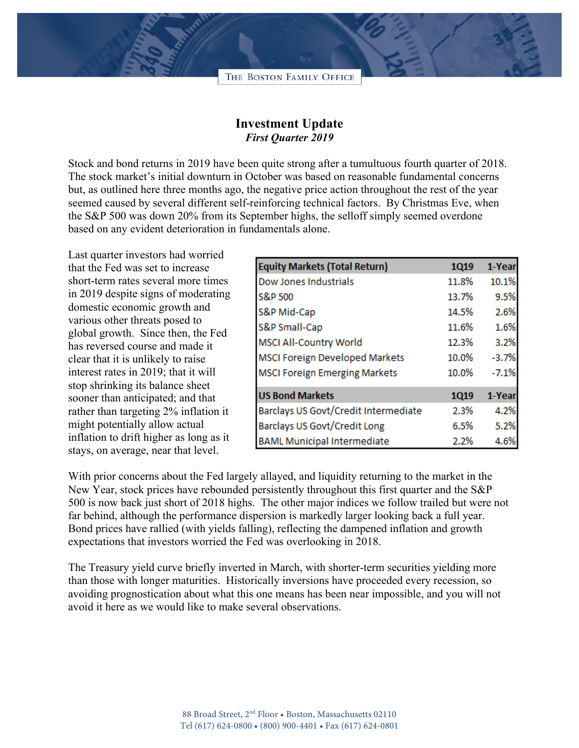

## **Investment Update** *First Quarter 2019*

Stock and bond returns in 2019 have been quite strong after a tumultuous fourth quarter of 2018. The stock market's initial downturn in October was based on reasonable fundamental concerns but, as outlined here three months ago, the negative price action throughout the rest of the year seemed caused by several different self-reinforcing technical factors. By Christmas Eve, when the S&P 500 was down 20% from its September highs, the selloff simply seemed overdone based on any evident deterioration in fundamentals alone.

Last quarter investors had worried that the Fed was set to increase short-term rates several more times in 2019 despite signs of moderating domestic economic growth and various other threats posed to global growth. Since then, the Fed has reversed course and made it clear that it is unlikely to raise interest rates in 2019; that it will stop shrinking its balance sheet sooner than anticipated; and that rather than targeting 2% inflation it might potentially allow actual inflation to drift higher as long as it stays, on average, near that level.

| <b>Equity Markets (Total Return)</b>  | 1Q19  | 1-Year  |
|---------------------------------------|-------|---------|
| Dow Jones Industrials                 | 11.8% | 10.1%   |
| S&P 500                               | 13.7% | 9.5%    |
| S&P Mid-Cap                           | 14.5% | 2.6%    |
| S&P Small-Cap                         | 11.6% | 1.6%    |
| <b>MSCI All-Country World</b>         | 12.3% | 3.2%    |
| <b>MSCI Foreign Developed Markets</b> | 10.0% | $-3.7%$ |
| <b>MSCI Foreign Emerging Markets</b>  | 10.0% | $-7.1%$ |
| <b>US Bond Markets</b>                | 1Q19  | 1-Year  |
| Barclays US Govt/Credit Intermediate  | 2.3%  | 4.2%    |
| Barclays US Govt/Credit Long          | 6.5%  | 5.2%    |
| <b>BAML Municipal Intermediate</b>    | 2.2%  | 4.6%    |

With prior concerns about the Fed largely allayed, and liquidity returning to the market in the New Year, stock prices have rebounded persistently throughout this first quarter and the S&P 500 is now back just short of 2018 highs. The other major indices we follow trailed but were not far behind, although the performance dispersion is markedly larger looking back a full year. Bond prices have rallied (with yields falling), reflecting the dampened inflation and growth expectations that investors worried the Fed was overlooking in 2018.

The Treasury yield curve briefly inverted in March, with shorter-term securities yielding more than those with longer maturities. Historically inversions have proceeded every recession, so avoiding prognostication about what this one means has been near impossible, and you will not avoid it here as we would like to make several observations.